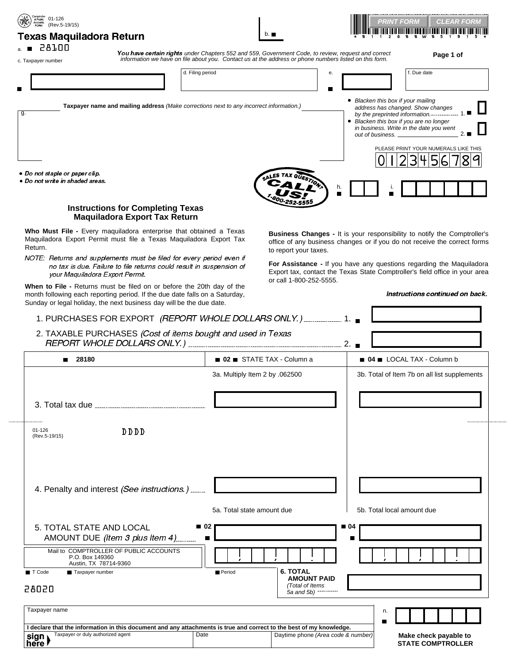| <b>Texas Maquiladora Return</b><br>■ 28100<br>You have certain rights under Chapters 552 and 559, Government Code, to review, request and correct<br>Page 1 of<br>information we have on file about you. Contact us at the address or phone numbers listed on this form.<br>c. Taxpayer number<br>d. Filing period<br>f. Due date<br>е.<br>• Blacken this box if your mailing<br>Taxpayer name and mailing address (Make corrections next to any incorrect information.)<br>address has changed. Show changes<br>g.<br>by the preprinted information.------------- 1<br>• Blacken this box if you are no longer<br>in business. Write in the date you went<br>out of business. _<br>PLEASE PRINT YOUR NUMERALS LIKE THIS<br>3H<br>h.<br><b>Instructions for Completing Texas</b><br><b>Maquiladora Export Tax Return</b><br>Who Must File - Every maquiladora enterprise that obtained a Texas<br>Maquiladora Export Permit must file a Texas Maquiladora Export Tax<br>to report your taxes.<br>NOTE: Returns and supplements must be filed for every period even if<br>no tax is due. Failure to file returns could result in suspension of<br>your Maquiladora Export Permit.<br>or call 1-800-252-5555.<br>When to File - Returns must be filed on or before the 20th day of the<br>month following each reporting period. If the due date falls on a Saturday,<br>Sunday or legal holiday, the next business day will be the due date.<br>1. PURCHASES FOR EXPORT (REPORT WHOLE DOLLARS ONLY.) 1.<br>2. TAXABLE PURCHASES (Cost of items bought and used in Texas<br>02 STATE TAX - Column a<br>04 LOCAL TAX - Column b<br>■ 28180<br>3a. Multiply Item 2 by .062500<br>$01 - 126$<br><b>DDDD</b><br>(Rev.5-19/15)<br>4. Penalty and interest (See instructions.)<br>5a. Total state amount due<br>5b. Total local amount due<br>■ 02<br>■ 04<br>5. TOTAL STATE AND LOCAL<br>AMOUNT DUE (Item 3 plus Item 4)<br>Mail to COMPTROLLER OF PUBLIC ACCOUNTS<br>P.O. Box 149360<br>Austin, TX 78714-9360<br><b>6. TOTAL</b><br>T Code<br>Period<br>Taxpayer number<br><b>AMOUNT PAID</b><br>(Total of Items<br>28020<br>5a and 5b) | Taxpayer name                                                                                                      |                                                                   |  | PRINT FORM<br><b>CLEAR FORM</b> |
|-----------------------------------------------------------------------------------------------------------------------------------------------------------------------------------------------------------------------------------------------------------------------------------------------------------------------------------------------------------------------------------------------------------------------------------------------------------------------------------------------------------------------------------------------------------------------------------------------------------------------------------------------------------------------------------------------------------------------------------------------------------------------------------------------------------------------------------------------------------------------------------------------------------------------------------------------------------------------------------------------------------------------------------------------------------------------------------------------------------------------------------------------------------------------------------------------------------------------------------------------------------------------------------------------------------------------------------------------------------------------------------------------------------------------------------------------------------------------------------------------------------------------------------------------------------------------------------------------------------------------------------------------------------------------------------------------------------------------------------------------------------------------------------------------------------------------------------------------------------------------------------------------------------------------------------------------------------------------------------------------------------------------------------------------------------------------------------------------------------------------------------|--------------------------------------------------------------------------------------------------------------------|-------------------------------------------------------------------|--|---------------------------------|
|                                                                                                                                                                                                                                                                                                                                                                                                                                                                                                                                                                                                                                                                                                                                                                                                                                                                                                                                                                                                                                                                                                                                                                                                                                                                                                                                                                                                                                                                                                                                                                                                                                                                                                                                                                                                                                                                                                                                                                                                                                                                                                                                   |                                                                                                                    |                                                                   |  |                                 |
|                                                                                                                                                                                                                                                                                                                                                                                                                                                                                                                                                                                                                                                                                                                                                                                                                                                                                                                                                                                                                                                                                                                                                                                                                                                                                                                                                                                                                                                                                                                                                                                                                                                                                                                                                                                                                                                                                                                                                                                                                                                                                                                                   |                                                                                                                    |                                                                   |  |                                 |
| Business Changes - It is your responsibility to notify the Comptroller's<br>office of any business changes or if you do not receive the correct forms<br>For Assistance - If you have any questions regarding the Maquiladora<br>Export tax, contact the Texas State Comptroller's field office in your area<br>Instructions continued on back.<br>3b. Total of Item 7b on all list supplements                                                                                                                                                                                                                                                                                                                                                                                                                                                                                                                                                                                                                                                                                                                                                                                                                                                                                                                                                                                                                                                                                                                                                                                                                                                                                                                                                                                                                                                                                                                                                                                                                                                                                                                                   |                                                                                                                    |                                                                   |  |                                 |
|                                                                                                                                                                                                                                                                                                                                                                                                                                                                                                                                                                                                                                                                                                                                                                                                                                                                                                                                                                                                                                                                                                                                                                                                                                                                                                                                                                                                                                                                                                                                                                                                                                                                                                                                                                                                                                                                                                                                                                                                                                                                                                                                   |                                                                                                                    |                                                                   |  |                                 |
|                                                                                                                                                                                                                                                                                                                                                                                                                                                                                                                                                                                                                                                                                                                                                                                                                                                                                                                                                                                                                                                                                                                                                                                                                                                                                                                                                                                                                                                                                                                                                                                                                                                                                                                                                                                                                                                                                                                                                                                                                                                                                                                                   |                                                                                                                    |                                                                   |  |                                 |
|                                                                                                                                                                                                                                                                                                                                                                                                                                                                                                                                                                                                                                                                                                                                                                                                                                                                                                                                                                                                                                                                                                                                                                                                                                                                                                                                                                                                                                                                                                                                                                                                                                                                                                                                                                                                                                                                                                                                                                                                                                                                                                                                   |                                                                                                                    |                                                                   |  |                                 |
|                                                                                                                                                                                                                                                                                                                                                                                                                                                                                                                                                                                                                                                                                                                                                                                                                                                                                                                                                                                                                                                                                                                                                                                                                                                                                                                                                                                                                                                                                                                                                                                                                                                                                                                                                                                                                                                                                                                                                                                                                                                                                                                                   |                                                                                                                    |                                                                   |  |                                 |
|                                                                                                                                                                                                                                                                                                                                                                                                                                                                                                                                                                                                                                                                                                                                                                                                                                                                                                                                                                                                                                                                                                                                                                                                                                                                                                                                                                                                                                                                                                                                                                                                                                                                                                                                                                                                                                                                                                                                                                                                                                                                                                                                   |                                                                                                                    | • Do not staple or paper clip.<br>· Do not write in shaded areas. |  |                                 |
|                                                                                                                                                                                                                                                                                                                                                                                                                                                                                                                                                                                                                                                                                                                                                                                                                                                                                                                                                                                                                                                                                                                                                                                                                                                                                                                                                                                                                                                                                                                                                                                                                                                                                                                                                                                                                                                                                                                                                                                                                                                                                                                                   |                                                                                                                    |                                                                   |  |                                 |
|                                                                                                                                                                                                                                                                                                                                                                                                                                                                                                                                                                                                                                                                                                                                                                                                                                                                                                                                                                                                                                                                                                                                                                                                                                                                                                                                                                                                                                                                                                                                                                                                                                                                                                                                                                                                                                                                                                                                                                                                                                                                                                                                   |                                                                                                                    | Return.                                                           |  |                                 |
|                                                                                                                                                                                                                                                                                                                                                                                                                                                                                                                                                                                                                                                                                                                                                                                                                                                                                                                                                                                                                                                                                                                                                                                                                                                                                                                                                                                                                                                                                                                                                                                                                                                                                                                                                                                                                                                                                                                                                                                                                                                                                                                                   |                                                                                                                    |                                                                   |  |                                 |
|                                                                                                                                                                                                                                                                                                                                                                                                                                                                                                                                                                                                                                                                                                                                                                                                                                                                                                                                                                                                                                                                                                                                                                                                                                                                                                                                                                                                                                                                                                                                                                                                                                                                                                                                                                                                                                                                                                                                                                                                                                                                                                                                   |                                                                                                                    |                                                                   |  |                                 |
|                                                                                                                                                                                                                                                                                                                                                                                                                                                                                                                                                                                                                                                                                                                                                                                                                                                                                                                                                                                                                                                                                                                                                                                                                                                                                                                                                                                                                                                                                                                                                                                                                                                                                                                                                                                                                                                                                                                                                                                                                                                                                                                                   |                                                                                                                    |                                                                   |  |                                 |
|                                                                                                                                                                                                                                                                                                                                                                                                                                                                                                                                                                                                                                                                                                                                                                                                                                                                                                                                                                                                                                                                                                                                                                                                                                                                                                                                                                                                                                                                                                                                                                                                                                                                                                                                                                                                                                                                                                                                                                                                                                                                                                                                   |                                                                                                                    |                                                                   |  |                                 |
|                                                                                                                                                                                                                                                                                                                                                                                                                                                                                                                                                                                                                                                                                                                                                                                                                                                                                                                                                                                                                                                                                                                                                                                                                                                                                                                                                                                                                                                                                                                                                                                                                                                                                                                                                                                                                                                                                                                                                                                                                                                                                                                                   |                                                                                                                    |                                                                   |  |                                 |
|                                                                                                                                                                                                                                                                                                                                                                                                                                                                                                                                                                                                                                                                                                                                                                                                                                                                                                                                                                                                                                                                                                                                                                                                                                                                                                                                                                                                                                                                                                                                                                                                                                                                                                                                                                                                                                                                                                                                                                                                                                                                                                                                   |                                                                                                                    |                                                                   |  |                                 |
|                                                                                                                                                                                                                                                                                                                                                                                                                                                                                                                                                                                                                                                                                                                                                                                                                                                                                                                                                                                                                                                                                                                                                                                                                                                                                                                                                                                                                                                                                                                                                                                                                                                                                                                                                                                                                                                                                                                                                                                                                                                                                                                                   |                                                                                                                    |                                                                   |  |                                 |
|                                                                                                                                                                                                                                                                                                                                                                                                                                                                                                                                                                                                                                                                                                                                                                                                                                                                                                                                                                                                                                                                                                                                                                                                                                                                                                                                                                                                                                                                                                                                                                                                                                                                                                                                                                                                                                                                                                                                                                                                                                                                                                                                   |                                                                                                                    |                                                                   |  |                                 |
|                                                                                                                                                                                                                                                                                                                                                                                                                                                                                                                                                                                                                                                                                                                                                                                                                                                                                                                                                                                                                                                                                                                                                                                                                                                                                                                                                                                                                                                                                                                                                                                                                                                                                                                                                                                                                                                                                                                                                                                                                                                                                                                                   |                                                                                                                    |                                                                   |  |                                 |
|                                                                                                                                                                                                                                                                                                                                                                                                                                                                                                                                                                                                                                                                                                                                                                                                                                                                                                                                                                                                                                                                                                                                                                                                                                                                                                                                                                                                                                                                                                                                                                                                                                                                                                                                                                                                                                                                                                                                                                                                                                                                                                                                   |                                                                                                                    |                                                                   |  |                                 |
|                                                                                                                                                                                                                                                                                                                                                                                                                                                                                                                                                                                                                                                                                                                                                                                                                                                                                                                                                                                                                                                                                                                                                                                                                                                                                                                                                                                                                                                                                                                                                                                                                                                                                                                                                                                                                                                                                                                                                                                                                                                                                                                                   |                                                                                                                    |                                                                   |  |                                 |
|                                                                                                                                                                                                                                                                                                                                                                                                                                                                                                                                                                                                                                                                                                                                                                                                                                                                                                                                                                                                                                                                                                                                                                                                                                                                                                                                                                                                                                                                                                                                                                                                                                                                                                                                                                                                                                                                                                                                                                                                                                                                                                                                   |                                                                                                                    |                                                                   |  |                                 |
|                                                                                                                                                                                                                                                                                                                                                                                                                                                                                                                                                                                                                                                                                                                                                                                                                                                                                                                                                                                                                                                                                                                                                                                                                                                                                                                                                                                                                                                                                                                                                                                                                                                                                                                                                                                                                                                                                                                                                                                                                                                                                                                                   |                                                                                                                    |                                                                   |  |                                 |
|                                                                                                                                                                                                                                                                                                                                                                                                                                                                                                                                                                                                                                                                                                                                                                                                                                                                                                                                                                                                                                                                                                                                                                                                                                                                                                                                                                                                                                                                                                                                                                                                                                                                                                                                                                                                                                                                                                                                                                                                                                                                                                                                   |                                                                                                                    |                                                                   |  |                                 |
|                                                                                                                                                                                                                                                                                                                                                                                                                                                                                                                                                                                                                                                                                                                                                                                                                                                                                                                                                                                                                                                                                                                                                                                                                                                                                                                                                                                                                                                                                                                                                                                                                                                                                                                                                                                                                                                                                                                                                                                                                                                                                                                                   |                                                                                                                    |                                                                   |  |                                 |
|                                                                                                                                                                                                                                                                                                                                                                                                                                                                                                                                                                                                                                                                                                                                                                                                                                                                                                                                                                                                                                                                                                                                                                                                                                                                                                                                                                                                                                                                                                                                                                                                                                                                                                                                                                                                                                                                                                                                                                                                                                                                                                                                   |                                                                                                                    |                                                                   |  |                                 |
|                                                                                                                                                                                                                                                                                                                                                                                                                                                                                                                                                                                                                                                                                                                                                                                                                                                                                                                                                                                                                                                                                                                                                                                                                                                                                                                                                                                                                                                                                                                                                                                                                                                                                                                                                                                                                                                                                                                                                                                                                                                                                                                                   |                                                                                                                    |                                                                   |  |                                 |
|                                                                                                                                                                                                                                                                                                                                                                                                                                                                                                                                                                                                                                                                                                                                                                                                                                                                                                                                                                                                                                                                                                                                                                                                                                                                                                                                                                                                                                                                                                                                                                                                                                                                                                                                                                                                                                                                                                                                                                                                                                                                                                                                   |                                                                                                                    |                                                                   |  |                                 |
|                                                                                                                                                                                                                                                                                                                                                                                                                                                                                                                                                                                                                                                                                                                                                                                                                                                                                                                                                                                                                                                                                                                                                                                                                                                                                                                                                                                                                                                                                                                                                                                                                                                                                                                                                                                                                                                                                                                                                                                                                                                                                                                                   |                                                                                                                    |                                                                   |  |                                 |
|                                                                                                                                                                                                                                                                                                                                                                                                                                                                                                                                                                                                                                                                                                                                                                                                                                                                                                                                                                                                                                                                                                                                                                                                                                                                                                                                                                                                                                                                                                                                                                                                                                                                                                                                                                                                                                                                                                                                                                                                                                                                                                                                   |                                                                                                                    |                                                                   |  |                                 |
|                                                                                                                                                                                                                                                                                                                                                                                                                                                                                                                                                                                                                                                                                                                                                                                                                                                                                                                                                                                                                                                                                                                                                                                                                                                                                                                                                                                                                                                                                                                                                                                                                                                                                                                                                                                                                                                                                                                                                                                                                                                                                                                                   |                                                                                                                    |                                                                   |  |                                 |
|                                                                                                                                                                                                                                                                                                                                                                                                                                                                                                                                                                                                                                                                                                                                                                                                                                                                                                                                                                                                                                                                                                                                                                                                                                                                                                                                                                                                                                                                                                                                                                                                                                                                                                                                                                                                                                                                                                                                                                                                                                                                                                                                   |                                                                                                                    |                                                                   |  |                                 |
|                                                                                                                                                                                                                                                                                                                                                                                                                                                                                                                                                                                                                                                                                                                                                                                                                                                                                                                                                                                                                                                                                                                                                                                                                                                                                                                                                                                                                                                                                                                                                                                                                                                                                                                                                                                                                                                                                                                                                                                                                                                                                                                                   | Ldeelare that the information in this decument and any attachments is true and correct to the best of my knowledge |                                                                   |  |                                 |

|                | I declare that the information in this document and any attachments is true and correct to the best of my knowledge. |      |                                    |  |
|----------------|----------------------------------------------------------------------------------------------------------------------|------|------------------------------------|--|
| ∣sign<br>∣here | Taxpayer or duly authorized agent                                                                                    | Date | Daytime phone (Area code & number) |  |

**Make check payable to STATE COMPTROLLER**